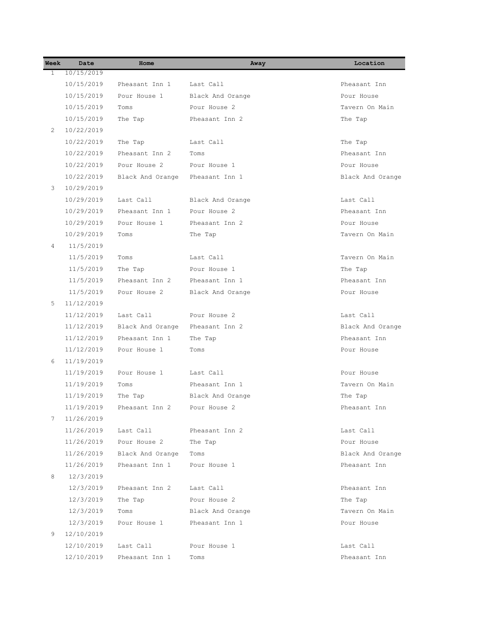| Week           | Date       | Home             | Away             | Location         |
|----------------|------------|------------------|------------------|------------------|
| 1              | 10/15/2019 |                  |                  |                  |
|                | 10/15/2019 | Pheasant Inn 1   | Last Call        | Pheasant Inn     |
|                | 10/15/2019 | Pour House 1     | Black And Orange | Pour House       |
|                | 10/15/2019 | Toms             | Pour House 2     | Tavern On Main   |
|                | 10/15/2019 | The Tap          | Pheasant Inn 2   | The Tap          |
| $\overline{2}$ | 10/22/2019 |                  |                  |                  |
|                | 10/22/2019 | The Tap          | Last Call        | The Tap          |
|                | 10/22/2019 | Pheasant Inn 2   | Toms             | Pheasant, Inn.   |
|                | 10/22/2019 | Pour House 2     | Pour House 1     | Pour House       |
|                | 10/22/2019 | Black And Orange | Pheasant Inn 1   | Black And Orange |
| 3              | 10/29/2019 |                  |                  |                  |
|                | 10/29/2019 | Last Call        | Black And Orange | Last Call        |
|                | 10/29/2019 | Pheasant Inn 1   | Pour House 2     | Pheasant Inn     |
|                | 10/29/2019 | Pour House 1     | Pheasant Inn 2   | Pour House       |
|                | 10/29/2019 | Toms             | The Tap          | Tavern On Main   |
| 4              | 11/5/2019  |                  |                  |                  |
|                | 11/5/2019  | Toms             | Last Call        | Tavern On Main   |
|                | 11/5/2019  | The Tap          | Pour House 1     | The Tap          |
|                | 11/5/2019  | Pheasant Inn 2   | Pheasant Inn 1   | Pheasant Inn     |
|                | 11/5/2019  | Pour House 2     | Black And Orange | Pour House       |
| 5              | 11/12/2019 |                  |                  |                  |
|                | 11/12/2019 | Last Call        | Pour House 2     | Last Call        |
|                | 11/12/2019 | Black And Orange | Pheasant Inn 2   | Black And Orange |
|                | 11/12/2019 | Pheasant Inn 1   | The Tap          | Pheasant Inn     |
|                | 11/12/2019 | Pour House 1     | Toms             | Pour House       |
| 6              | 11/19/2019 |                  |                  |                  |
|                | 11/19/2019 | Pour House 1     | Last Call        | Pour House       |
|                | 11/19/2019 | Toms             | Pheasant Inn 1   | Tavern On Main   |
|                | 11/19/2019 | The Tap          | Black And Orange | The Tap          |
|                | 11/19/2019 | Pheasant Inn 2   | Pour House 2     | Pheasant Inn     |
| 7              | 11/26/2019 |                  |                  |                  |
|                | 11/26/2019 | Last Call        | Pheasant Inn 2   | Last Call        |
|                | 11/26/2019 | Pour House 2     | The Tap          | Pour House       |
|                | 11/26/2019 | Black And Orange | Toms             | Black And Orange |
|                | 11/26/2019 | Pheasant Inn 1   | Pour House 1     | Pheasant Inn     |
| 8              | 12/3/2019  |                  |                  |                  |
|                | 12/3/2019  | Pheasant Inn 2   | Last Call        | Pheasant Inn     |
|                | 12/3/2019  | The Tap          | Pour House 2     | The Tap          |
|                | 12/3/2019  | Toms             | Black And Orange | Tavern On Main   |
|                | 12/3/2019  | Pour House 1     | Pheasant Inn 1   | Pour House       |
| 9              | 12/10/2019 |                  |                  |                  |
|                | 12/10/2019 | Last Call        | Pour House 1     | Last Call        |
|                | 12/10/2019 | Pheasant Inn 1   | Toms             | Pheasant Inn     |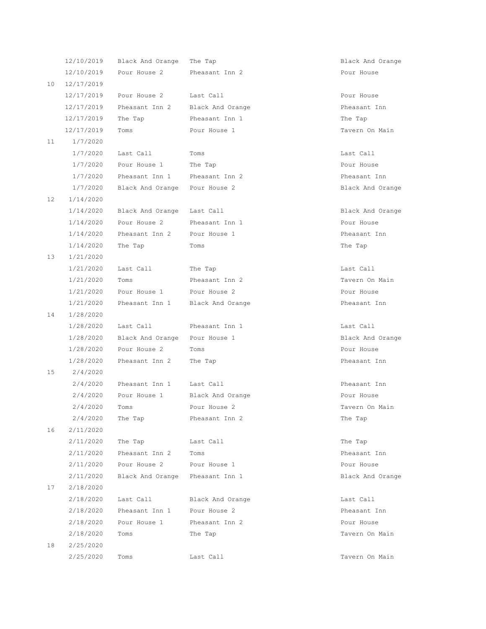|                 | 12/10/2019 | Black And Orange | The Tap          | Black And Orange |
|-----------------|------------|------------------|------------------|------------------|
|                 | 12/10/2019 | Pour House 2     | Pheasant Inn 2   | Pour House       |
| 10              | 12/17/2019 |                  |                  |                  |
|                 | 12/17/2019 | Pour House 2     | Last Call        | Pour House       |
|                 | 12/17/2019 | Pheasant Inn 2   | Black And Orange | Pheasant Inn     |
|                 | 12/17/2019 | The Tap          | Pheasant Inn 1   | The Tap          |
|                 | 12/17/2019 | Toms             | Pour House 1     | Tavern On Main   |
| 11              | 1/7/2020   |                  |                  |                  |
|                 | 1/7/2020   | Last Call        | Toms             | Last Call        |
|                 | 1/7/2020   | Pour House 1     | The Tap          | Pour House       |
|                 | 1/7/2020   | Pheasant Inn 1   | Pheasant Inn 2   | Pheasant Inn     |
|                 | 1/7/2020   | Black And Orange | Pour House 2     | Black And Orange |
| 12              | 1/14/2020  |                  |                  |                  |
|                 | 1/14/2020  | Black And Orange | Last Call        | Black And Orange |
|                 | 1/14/2020  | Pour House 2     | Pheasant Inn 1   | Pour House       |
|                 | 1/14/2020  | Pheasant Inn 2   | Pour House 1     | Pheasant Inn     |
|                 | 1/14/2020  | The Tap          | Toms             | The Tap          |
| 13              | 1/21/2020  |                  |                  |                  |
|                 | 1/21/2020  | Last Call        | The Tap          | Last Call        |
|                 | 1/21/2020  | Toms             | Pheasant Inn 2   | Tavern On Main   |
|                 | 1/21/2020  | Pour House 1     | Pour House 2     | Pour House       |
|                 | 1/21/2020  | Pheasant Inn 1   | Black And Orange | Pheasant Inn     |
| 14              | 1/28/2020  |                  |                  |                  |
|                 | 1/28/2020  | Last Call        | Pheasant Inn 1   | Last Call        |
|                 | 1/28/2020  | Black And Orange | Pour House 1     | Black And Orange |
|                 | 1/28/2020  | Pour House 2     | Toms             | Pour House       |
|                 | 1/28/2020  | Pheasant Inn 2   | The Tap          | Pheasant Inn     |
| 15              | 2/4/2020   |                  |                  |                  |
|                 | 2/4/2020   | Pheasant Inn 1   | Last Call        | Pheasant Inn     |
|                 | 2/4/2020   | Pour House 1     | Black And Orange | Pour House       |
|                 | 2/4/2020   | Toms             | Pour House 2     | Tavern On Main   |
|                 | 2/4/2020   | The Tap          | Pheasant Inn 2   | The Tap          |
| 16              | 2/11/2020  |                  |                  |                  |
|                 | 2/11/2020  | The Tap          | Last Call        | The Tap          |
|                 | 2/11/2020  | Pheasant Inn 2   | Toms             | Pheasant Inn     |
|                 | 2/11/2020  | Pour House 2     | Pour House 1     | Pour House       |
|                 | 2/11/2020  | Black And Orange | Pheasant Inn 1   | Black And Orange |
| 17 <sub>2</sub> | 2/18/2020  |                  |                  |                  |
|                 | 2/18/2020  | Last Call        | Black And Orange | Last Call        |
|                 | 2/18/2020  | Pheasant Inn 1   | Pour House 2     | Pheasant Inn     |
|                 | 2/18/2020  | Pour House 1     | Pheasant Inn 2   | Pour House       |
|                 | 2/18/2020  | Toms             | The Tap          | Tavern On Main   |
| 18              | 2/25/2020  |                  |                  |                  |
|                 | 2/25/2020  | Toms             | Last Call        | Tavern On Main   |